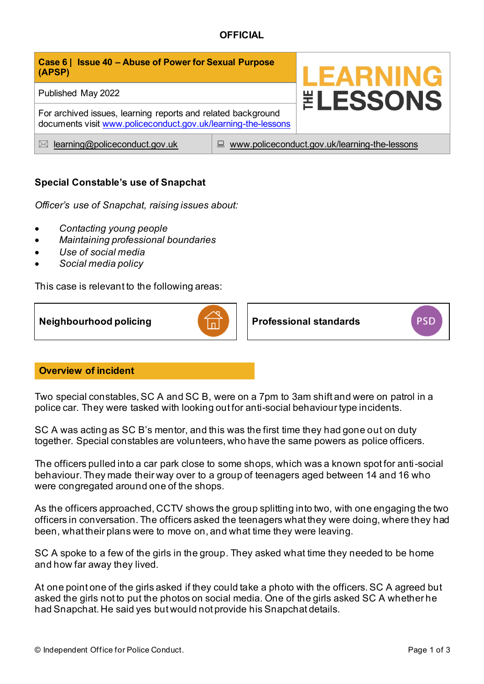# **OFFICIAL**

| Case 6   Issue 40 - Abuse of Power for Sexual Purpose<br>(APSP)                                                               |                                                    | <b>LEARNING</b>        |
|-------------------------------------------------------------------------------------------------------------------------------|----------------------------------------------------|------------------------|
| Published May 2022                                                                                                            |                                                    | <b><i>ELESSONS</i></b> |
| For archived issues, learning reports and related background<br>documents visit www.policeconduct.gov.uk/learning-the-lessons |                                                    |                        |
| learning@policeconduct.gov.uk<br>$\bowtie$                                                                                    | www.policeconduct.gov.uk/learning-the-lessons<br>鳳 |                        |

## **Special Constable's use of Snapchat**

*Officer's use of Snapchat, raising issues about:* 

- *Contacting young people*
- *Maintaining professional boundaries*
- *Use of social media*
- *Social media policy*

This case is relevant to the following areas:



### **Overview of incident**

Two special constables, SC A and SC B, were on a 7pm to 3am shift and were on patrol in a police car. They were tasked with looking out for anti-social behaviour type incidents.

SC A was acting as SC B's mentor, and this was the first time they had gone out on duty together. Special constables are volunteers, who have the same powers as police officers.

The officers pulled into a car park close to some shops, which was a known spot for anti-social behaviour. They made their way over to a group of teenagers aged between 14 and 16 who were congregated around one of the shops.

As the officers approached, CCTV shows the group splitting into two, with one engaging the two officers in conversation. The officers asked the teenagers what they were doing, where they had been, what their plans were to move on, and what time they were leaving.

SC A spoke to a few of the girls in the group. They asked what time they needed to be home and how far away they lived.

At one point one of the girls asked if they could take a photo with the officers. SC A agreed but asked the girls not to put the photos on social media. One of the girls asked SC A whether he had Snapchat. He said yes but would not provide his Snapchat details.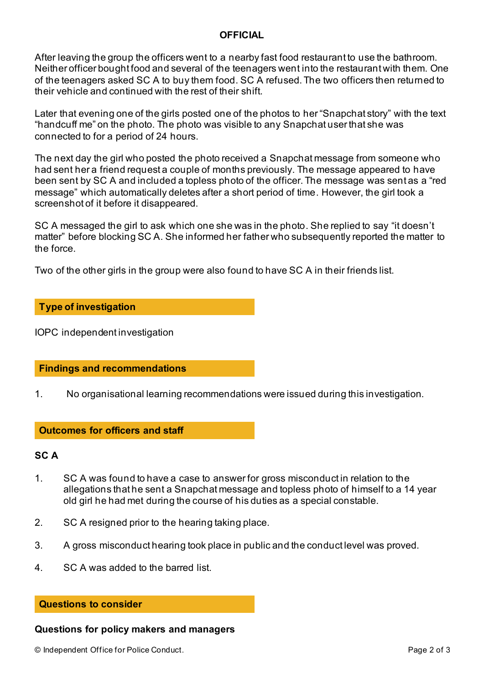#### **OFFICIAL**

After leaving the group the officers went to a nearby fast food restaurant to use the bathroom. Neither officer bought food and several of the teenagers went into the restaurant with them. One of the teenagers asked SC A to buy them food. SC A refused. The two officers then returned to their vehicle and continued with the rest of their shift.

Later that evening one of the girls posted one of the photos to her "Snapchat story" with the text "handcuff me" on the photo. The photo was visible to any Snapchat user that she was connected to for a period of 24 hours.

The next day the girl who posted the photo received a Snapchat message from someone who had sent her a friend request a couple of months previously. The message appeared to have been sent by SC A and included a topless photo of the officer. The message was sent as a "red message" which automatically deletes after a short period of time. However, the girl took a screenshot of it before it disappeared.

SC A messaged the girl to ask which one she was in the photo. She replied to say "it doesn't matter" before blocking SC A. She informed her father who subsequently reported the matter to the force.

Two of the other girls in the group were also found to have SC A in their friends list.

#### **Type of investigation**

IOPC independent investigation

#### **Findings and recommendations**

1. No organisational learning recommendations were issued during this investigation.

#### **Outcomes for officers and staff**

#### **SC A**

- 1. SC A was found to have a case to answer for gross misconduct in relation to the allegations that he sent a Snapchat message and topless photo of himself to a 14 year old girl he had met during the course of his duties as a special constable.
- 2. SC A resigned prior to the hearing taking place.
- 3. A gross misconduct hearing took place in public and the conduct level was proved.
- 4. SC A was added to the barred list.

#### **Questions to consider**

#### **Questions for policy makers and managers**

© Independent Office for Police Conduct. Page 2 of 3